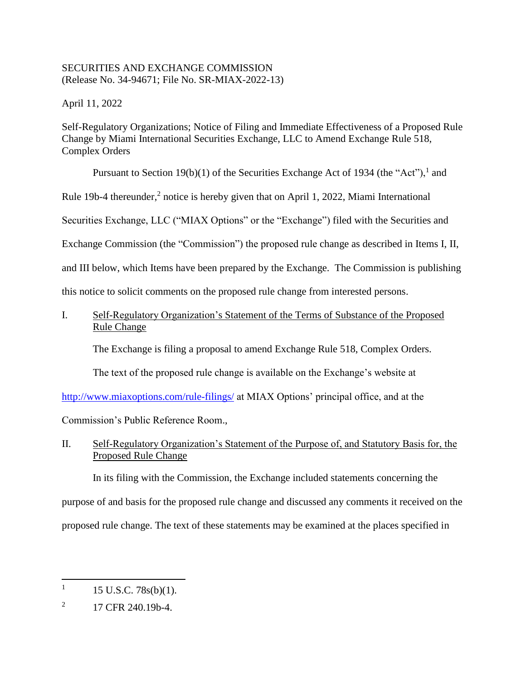### SECURITIES AND EXCHANGE COMMISSION (Release No. 34-94671; File No. SR-MIAX-2022-13)

April 11, 2022

Self-Regulatory Organizations; Notice of Filing and Immediate Effectiveness of a Proposed Rule Change by Miami International Securities Exchange, LLC to Amend Exchange Rule 518, Complex Orders

Pursuant to Section 19(b)(1) of the Securities Exchange Act of 1934 (the "Act"), and

Rule 19b-4 thereunder,<sup>2</sup> notice is hereby given that on April 1, 2022, Miami International

Securities Exchange, LLC ("MIAX Options" or the "Exchange") filed with the Securities and

Exchange Commission (the "Commission") the proposed rule change as described in Items I, II,

and III below, which Items have been prepared by the Exchange. The Commission is publishing

this notice to solicit comments on the proposed rule change from interested persons.

# I. Self-Regulatory Organization's Statement of the Terms of Substance of the Proposed Rule Change

The Exchange is filing a proposal to amend Exchange Rule 518, Complex Orders.

The text of the proposed rule change is available on the Exchange's website at

[http://www.miaxoptions.com/rule-filings/](http://www.miaxoptions.com/rule-filings/pearl) at MIAX Options' principal office, and at the

Commission's Public Reference Room.,

# II. Self-Regulatory Organization's Statement of the Purpose of, and Statutory Basis for, the Proposed Rule Change

In its filing with the Commission, the Exchange included statements concerning the

purpose of and basis for the proposed rule change and discussed any comments it received on the

proposed rule change. The text of these statements may be examined at the places specified in

 $\overline{a}$ 

<sup>1</sup> 15 U.S.C. 78s(b)(1).

<sup>2</sup> 17 CFR 240.19b-4.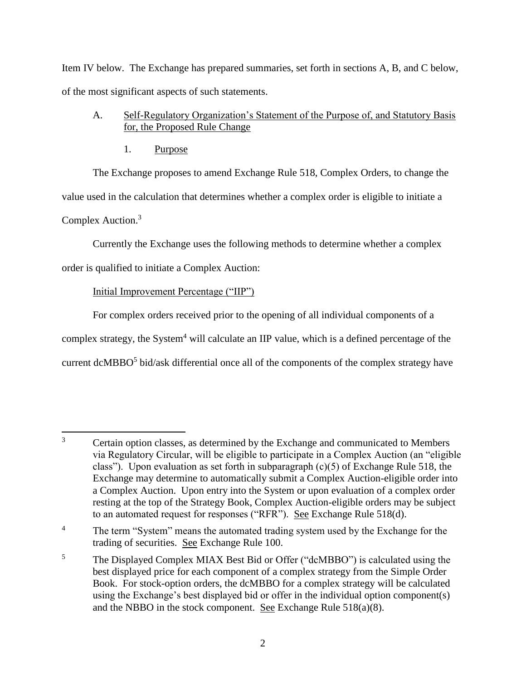Item IV below. The Exchange has prepared summaries, set forth in sections A, B, and C below, of the most significant aspects of such statements.

- A. Self-Regulatory Organization's Statement of the Purpose of, and Statutory Basis for, the Proposed Rule Change
	- 1. Purpose

The Exchange proposes to amend Exchange Rule 518, Complex Orders, to change the value used in the calculation that determines whether a complex order is eligible to initiate a Complex Auction.<sup>3</sup>

Currently the Exchange uses the following methods to determine whether a complex

order is qualified to initiate a Complex Auction:

# Initial Improvement Percentage ("IIP")

For complex orders received prior to the opening of all individual components of a complex strategy, the System<sup>4</sup> will calculate an IIP value, which is a defined percentage of the current dcMBBO $5$  bid/ask differential once all of the components of the complex strategy have

 $\overline{3}$ <sup>3</sup> Certain option classes, as determined by the Exchange and communicated to Members via Regulatory Circular, will be eligible to participate in a Complex Auction (an "eligible class"). Upon evaluation as set forth in subparagraph  $(c)(5)$  of Exchange Rule 518, the Exchange may determine to automatically submit a Complex Auction-eligible order into a Complex Auction. Upon entry into the System or upon evaluation of a complex order resting at the top of the Strategy Book, Complex Auction-eligible orders may be subject to an automated request for responses ("RFR"). See Exchange Rule 518(d).

<sup>&</sup>lt;sup>4</sup> The term "System" means the automated trading system used by the Exchange for the trading of securities. See Exchange Rule 100.

<sup>&</sup>lt;sup>5</sup> The Displayed Complex MIAX Best Bid or Offer ("dcMBBO") is calculated using the best displayed price for each component of a complex strategy from the Simple Order Book. For stock-option orders, the dcMBBO for a complex strategy will be calculated using the Exchange's best displayed bid or offer in the individual option component(s) and the NBBO in the stock component. See Exchange Rule 518(a)(8).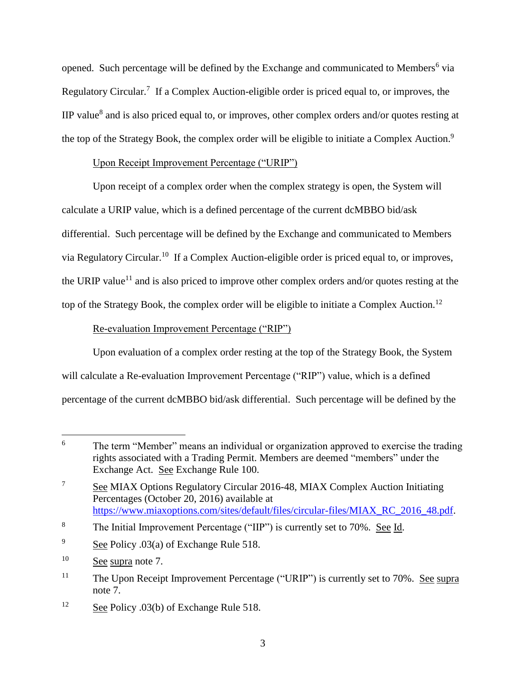opened. Such percentage will be defined by the Exchange and communicated to Members<sup>6</sup> via Regulatory Circular.<sup>7</sup> If a Complex Auction-eligible order is priced equal to, or improves, the IIP value $^8$  and is also priced equal to, or improves, other complex orders and/or quotes resting at the top of the Strategy Book, the complex order will be eligible to initiate a Complex Auction.<sup>9</sup>

## Upon Receipt Improvement Percentage ("URIP")

Upon receipt of a complex order when the complex strategy is open, the System will calculate a URIP value, which is a defined percentage of the current dcMBBO bid/ask differential. Such percentage will be defined by the Exchange and communicated to Members via Regulatory Circular.<sup>10</sup> If a Complex Auction-eligible order is priced equal to, or improves, the URIP value<sup>11</sup> and is also priced to improve other complex orders and/or quotes resting at the top of the Strategy Book, the complex order will be eligible to initiate a Complex Auction.<sup>12</sup>

# Re-evaluation Improvement Percentage ("RIP")

Upon evaluation of a complex order resting at the top of the Strategy Book, the System will calculate a Re-evaluation Improvement Percentage ("RIP") value, which is a defined percentage of the current dcMBBO bid/ask differential. Such percentage will be defined by the

 $\overline{a}$ 

<sup>12</sup> See Policy .03(b) of Exchange Rule 518.

<sup>&</sup>lt;sup>6</sup> The term "Member" means an individual or organization approved to exercise the trading rights associated with a Trading Permit. Members are deemed "members" under the Exchange Act. See Exchange Rule 100.

<sup>&</sup>lt;sup>7</sup> See MIAX Options Regulatory Circular 2016-48, MIAX Complex Auction Initiating Percentages (October 20, 2016) available at [https://www.miaxoptions.com/sites/default/files/circular-files/MIAX\\_RC\\_2016\\_48.pdf.](https://www.miaxoptions.com/sites/default/files/circular-files/MIAX_RC_2016_48.pdf)

<sup>8</sup> The Initial Improvement Percentage ("IIP") is currently set to 70%. See Id.

<sup>&</sup>lt;sup>9</sup> See Policy .03(a) of Exchange Rule 518.

<sup>&</sup>lt;sup>10</sup> See supra note 7.

<sup>&</sup>lt;sup>11</sup> The Upon Receipt Improvement Percentage ("URIP") is currently set to 70%. <u>See supra</u> note 7.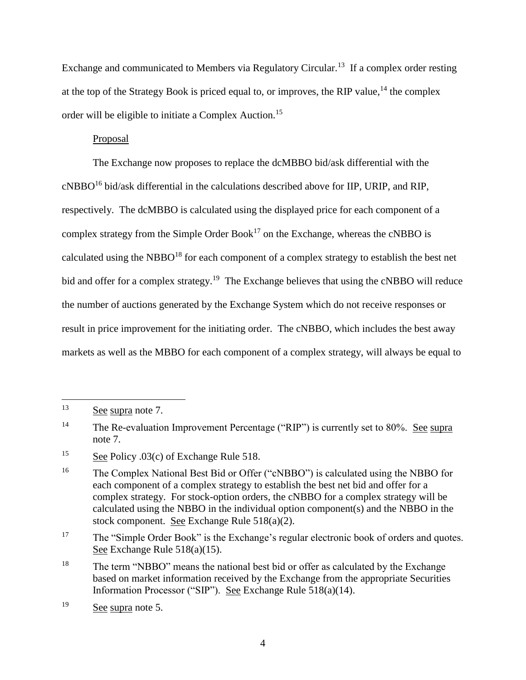Exchange and communicated to Members via Regulatory Circular.<sup>13</sup> If a complex order resting at the top of the Strategy Book is priced equal to, or improves, the RIP value,  $14$  the complex order will be eligible to initiate a Complex Auction.<sup>15</sup>

### Proposal

The Exchange now proposes to replace the dcMBBO bid/ask differential with the  $c$ NBBO<sup>16</sup> bid/ask differential in the calculations described above for IIP, URIP, and RIP, respectively. The dcMBBO is calculated using the displayed price for each component of a complex strategy from the Simple Order Book<sup>17</sup> on the Exchange, whereas the cNBBO is calculated using the NBBO<sup>18</sup> for each component of a complex strategy to establish the best net bid and offer for a complex strategy.<sup>19</sup> The Exchange believes that using the cNBBO will reduce the number of auctions generated by the Exchange System which do not receive responses or result in price improvement for the initiating order. The cNBBO, which includes the best away markets as well as the MBBO for each component of a complex strategy, will always be equal to

 $\overline{a}$ 

<sup>&</sup>lt;sup>13</sup> See supra note 7.

<sup>&</sup>lt;sup>14</sup> The Re-evaluation Improvement Percentage ("RIP") is currently set to 80%. See supra note 7.

 $\frac{15}{2}$  See Policy .03(c) of Exchange Rule 518.

<sup>&</sup>lt;sup>16</sup> The Complex National Best Bid or Offer ("cNBBO") is calculated using the NBBO for each component of a complex strategy to establish the best net bid and offer for a complex strategy. For stock-option orders, the cNBBO for a complex strategy will be calculated using the NBBO in the individual option component(s) and the NBBO in the stock component. See Exchange Rule 518(a)(2).

<sup>&</sup>lt;sup>17</sup> The "Simple Order Book" is the Exchange's regular electronic book of orders and quotes. See Exchange Rule 518(a)(15).

<sup>&</sup>lt;sup>18</sup> The term "NBBO" means the national best bid or offer as calculated by the Exchange based on market information received by the Exchange from the appropriate Securities Information Processor ("SIP"). See Exchange Rule 518(a)(14).

<sup>19</sup> See supra note 5.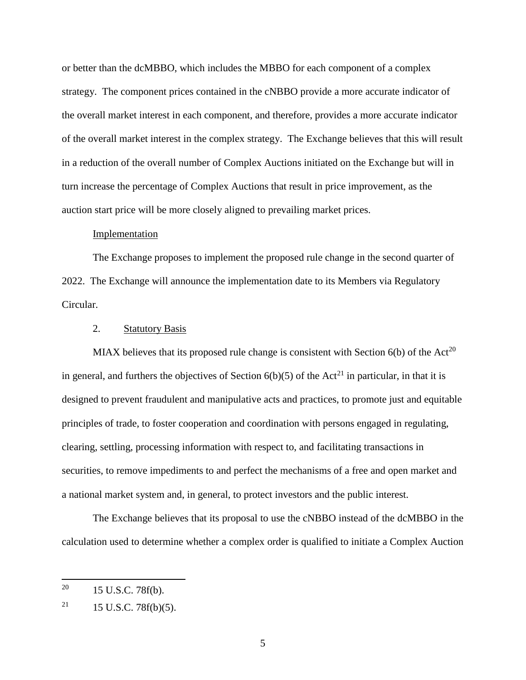or better than the dcMBBO, which includes the MBBO for each component of a complex strategy. The component prices contained in the cNBBO provide a more accurate indicator of the overall market interest in each component, and therefore, provides a more accurate indicator of the overall market interest in the complex strategy. The Exchange believes that this will result in a reduction of the overall number of Complex Auctions initiated on the Exchange but will in turn increase the percentage of Complex Auctions that result in price improvement, as the auction start price will be more closely aligned to prevailing market prices.

### Implementation

The Exchange proposes to implement the proposed rule change in the second quarter of 2022. The Exchange will announce the implementation date to its Members via Regulatory Circular.

#### 2. Statutory Basis

MIAX believes that its proposed rule change is consistent with Section  $6(b)$  of the Act<sup>20</sup> in general, and furthers the objectives of Section  $6(b)(5)$  of the Act<sup>21</sup> in particular, in that it is designed to prevent fraudulent and manipulative acts and practices, to promote just and equitable principles of trade, to foster cooperation and coordination with persons engaged in regulating, clearing, settling, processing information with respect to, and facilitating transactions in securities, to remove impediments to and perfect the mechanisms of a free and open market and a national market system and, in general, to protect investors and the public interest.

The Exchange believes that its proposal to use the cNBBO instead of the dcMBBO in the calculation used to determine whether a complex order is qualified to initiate a Complex Auction

 $\overline{a}$ 

 $^{20}$  15 U.S.C. 78f(b).

<sup>&</sup>lt;sup>21</sup> 15 U.S.C. 78 $f(b)(5)$ .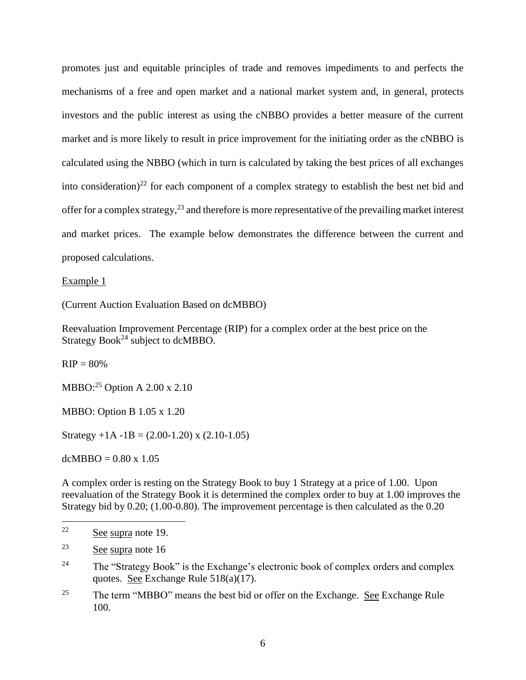promotes just and equitable principles of trade and removes impediments to and perfects the mechanisms of a free and open market and a national market system and, in general, protects investors and the public interest as using the cNBBO provides a better measure of the current market and is more likely to result in price improvement for the initiating order as the cNBBO is calculated using the NBBO (which in turn is calculated by taking the best prices of all exchanges into consideration)<sup>22</sup> for each component of a complex strategy to establish the best net bid and offer for a complex strategy,<sup>23</sup> and therefore is more representative of the prevailing market interest and market prices. The example below demonstrates the difference between the current and proposed calculations.

Example 1

(Current Auction Evaluation Based on dcMBBO)

Reevaluation Improvement Percentage (RIP) for a complex order at the best price on the Strategy Book<sup>24</sup> subject to dcMBBO.

 $RIP = 80%$ 

MBBO: $^{25}$  Option A 2.00 x 2.10

MBBO: Option B 1.05 x 1.20

Strategy  $+1A -1B = (2.00-1.20)$  x  $(2.10-1.05)$ 

 $dcMBBO = 0.80 \times 1.05$ 

A complex order is resting on the Strategy Book to buy 1 Strategy at a price of 1.00. Upon reevaluation of the Strategy Book it is determined the complex order to buy at 1.00 improves the Strategy bid by 0.20; (1.00-0.80). The improvement percentage is then calculated as the 0.20

 $22$ See supra note 19.

<sup>23</sup> See supra note 16

<sup>&</sup>lt;sup>24</sup> The "Strategy Book" is the Exchange's electronic book of complex orders and complex quotes. See Exchange Rule 518(a)(17).

<sup>&</sup>lt;sup>25</sup> The term "MBBO" means the best bid or offer on the Exchange. See Exchange Rule 100.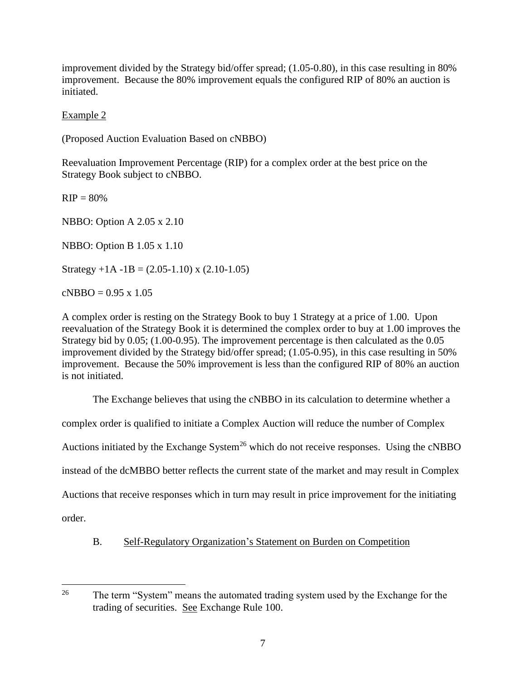improvement divided by the Strategy bid/offer spread; (1.05-0.80), in this case resulting in 80% improvement. Because the 80% improvement equals the configured RIP of 80% an auction is initiated.

Example 2

(Proposed Auction Evaluation Based on cNBBO)

Reevaluation Improvement Percentage (RIP) for a complex order at the best price on the Strategy Book subject to cNBBO.

 $RIP = 80%$ 

NBBO: Option A 2.05 x 2.10

NBBO: Option B 1.05 x 1.10

Strategy  $+1A -1B = (2.05 - 1.10)$  x  $(2.10 - 1.05)$ 

 $cNBBO = 0.95 \times 1.05$ 

A complex order is resting on the Strategy Book to buy 1 Strategy at a price of 1.00. Upon reevaluation of the Strategy Book it is determined the complex order to buy at 1.00 improves the Strategy bid by 0.05; (1.00-0.95). The improvement percentage is then calculated as the 0.05 improvement divided by the Strategy bid/offer spread; (1.05-0.95), in this case resulting in 50% improvement. Because the 50% improvement is less than the configured RIP of 80% an auction is not initiated.

The Exchange believes that using the cNBBO in its calculation to determine whether a

complex order is qualified to initiate a Complex Auction will reduce the number of Complex

Auctions initiated by the Exchange System<sup>26</sup> which do not receive responses. Using the cNBBO

instead of the dcMBBO better reflects the current state of the market and may result in Complex

Auctions that receive responses which in turn may result in price improvement for the initiating

order.

B. Self-Regulatory Organization's Statement on Burden on Competition

<sup>26</sup> The term "System" means the automated trading system used by the Exchange for the trading of securities. See Exchange Rule 100.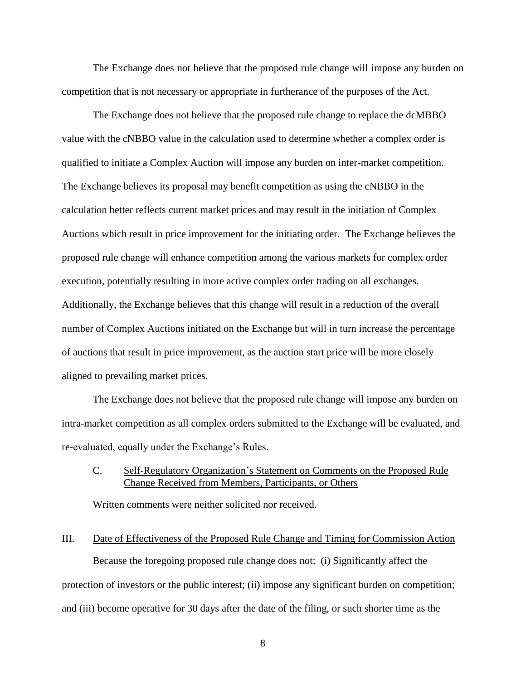The Exchange does not believe that the proposed rule change will impose any burden on competition that is not necessary or appropriate in furtherance of the purposes of the Act.

The Exchange does not believe that the proposed rule change to replace the dcMBBO value with the cNBBO value in the calculation used to determine whether a complex order is qualified to initiate a Complex Auction will impose any burden on inter-market competition. The Exchange believes its proposal may benefit competition as using the cNBBO in the calculation better reflects current market prices and may result in the initiation of Complex Auctions which result in price improvement for the initiating order. The Exchange believes the proposed rule change will enhance competition among the various markets for complex order execution, potentially resulting in more active complex order trading on all exchanges. Additionally, the Exchange believes that this change will result in a reduction of the overall number of Complex Auctions initiated on the Exchange but will in turn increase the percentage of auctions that result in price improvement, as the auction start price will be more closely aligned to prevailing market prices.

The Exchange does not believe that the proposed rule change will impose any burden on intra-market competition as all complex orders submitted to the Exchange will be evaluated, and re-evaluated, equally under the Exchange's Rules.

### C. Self-Regulatory Organization's Statement on Comments on the Proposed Rule Change Received from Members, Participants, or Others

Written comments were neither solicited nor received.

### III. Date of Effectiveness of the Proposed Rule Change and Timing for Commission Action

Because the foregoing proposed rule change does not: (i) Significantly affect the protection of investors or the public interest; (ii) impose any significant burden on competition; and (iii) become operative for 30 days after the date of the filing, or such shorter time as the

8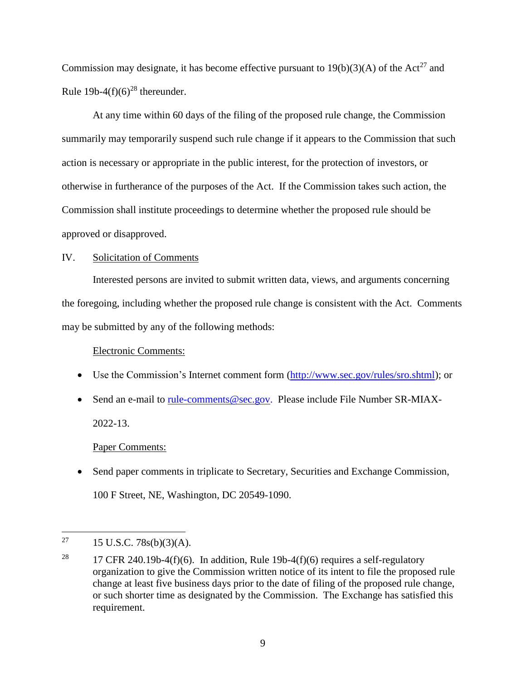Commission may designate, it has become effective pursuant to  $19(b)(3)(A)$  of the Act<sup>27</sup> and Rule 19b-4 $(f)(6)^{28}$  thereunder.

At any time within 60 days of the filing of the proposed rule change, the Commission summarily may temporarily suspend such rule change if it appears to the Commission that such action is necessary or appropriate in the public interest, for the protection of investors, or otherwise in furtherance of the purposes of the Act. If the Commission takes such action, the Commission shall institute proceedings to determine whether the proposed rule should be approved or disapproved.

## IV. Solicitation of Comments

Interested persons are invited to submit written data, views, and arguments concerning the foregoing, including whether the proposed rule change is consistent with the Act. Comments may be submitted by any of the following methods:

#### Electronic Comments:

- Use the Commission's Internet comment form [\(http://www.sec.gov/rules/sro.shtml\)](http://www.sec.gov/rules/sro.shtml); or
- Send an e-mail to [rule-comments@sec.gov.](mailto:rule-comments@sec.gov) Please include File Number SR-MIAX-2022-13.

#### Paper Comments:

• Send paper comments in triplicate to Secretary, Securities and Exchange Commission, 100 F Street, NE, Washington, DC 20549-1090.

<sup>27</sup> <sup>27</sup> 15 U.S.C. 78s(b)(3)(A).

<sup>&</sup>lt;sup>28</sup> 17 CFR 240.19b-4(f)(6). In addition, Rule 19b-4(f)(6) requires a self-regulatory organization to give the Commission written notice of its intent to file the proposed rule change at least five business days prior to the date of filing of the proposed rule change, or such shorter time as designated by the Commission. The Exchange has satisfied this requirement.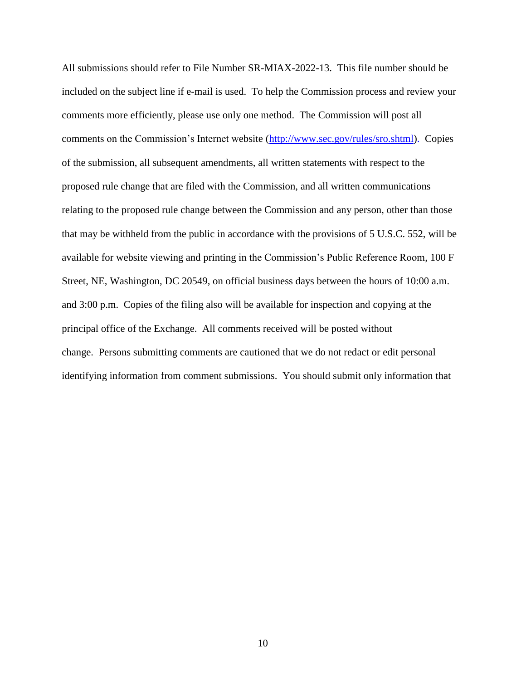All submissions should refer to File Number SR-MIAX-2022-13. This file number should be included on the subject line if e-mail is used. To help the Commission process and review your comments more efficiently, please use only one method. The Commission will post all comments on the Commission's Internet website (http://www.sec.gov/rules/sro.shtml). Copies of the submission, all subsequent amendments, all written statements with respect to the proposed rule change that are filed with the Commission, and all written communications relating to the proposed rule change between the Commission and any person, other than those that may be withheld from the public in accordance with the provisions of 5 U.S.C. 552, will be available for website viewing and printing in the Commission's Public Reference Room, 100 F Street, NE, Washington, DC 20549, on official business days between the hours of 10:00 a.m. and 3:00 p.m. Copies of the filing also will be available for inspection and copying at the principal office of the Exchange. All comments received will be posted without change. Persons submitting comments are cautioned that we do not redact or edit personal identifying information from comment submissions. You should submit only information that